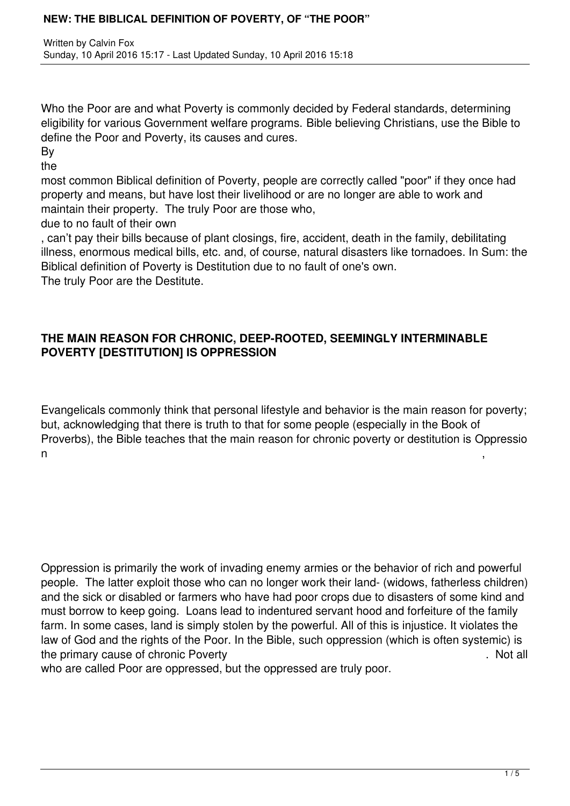Who the Poor are and what Poverty is commonly decided by Federal standards, determining eligibility for various Government welfare programs. Bible believing Christians, use the Bible to define the Poor and Poverty, its causes and cures.

By

the

most common Biblical definition of Poverty, people are correctly called "poor" if they once had property and means, but have lost their livelihood or are no longer are able to work and maintain their property. The truly Poor are those who,

due to no fault of their own

, can't pay their bills because of plant closings, fire, accident, death in the family, debilitating illness, enormous medical bills, etc. and, of course, natural disasters like tornadoes. In Sum: the Biblical definition of Poverty is Destitution due to no fault of one's own.

The truly Poor are the Destitute.

# **THE MAIN REASON FOR CHRONIC, DEEP-ROOTED, SEEMINGLY INTERMINABLE POVERTY [DESTITUTION] IS OPPRESSION**

Evangelicals commonly think that personal lifestyle and behavior is the main reason for poverty; but, acknowledging that there is truth to that for some people (especially in the Book of Proverbs), the Bible teaches that the main reason for chronic poverty or destitution is Oppressio  $n \hspace{2.5cm}$ , ,

Oppression is primarily the work of invading enemy armies or the behavior of rich and powerful people. The latter exploit those who can no longer work their land- (widows, fatherless children) and the sick or disabled or farmers who have had poor crops due to disasters of some kind and must borrow to keep going. Loans lead to indentured servant hood and forfeiture of the family farm. In some cases, land is simply stolen by the powerful. All of this is injustice. It violates the law of God and the rights of the Poor. In the Bible, such oppression (which is often systemic) is the primary cause of chronic Poverty **Example 20** and the primary cause of chronic Poverty

who are called Poor are oppressed, but the oppressed are truly poor.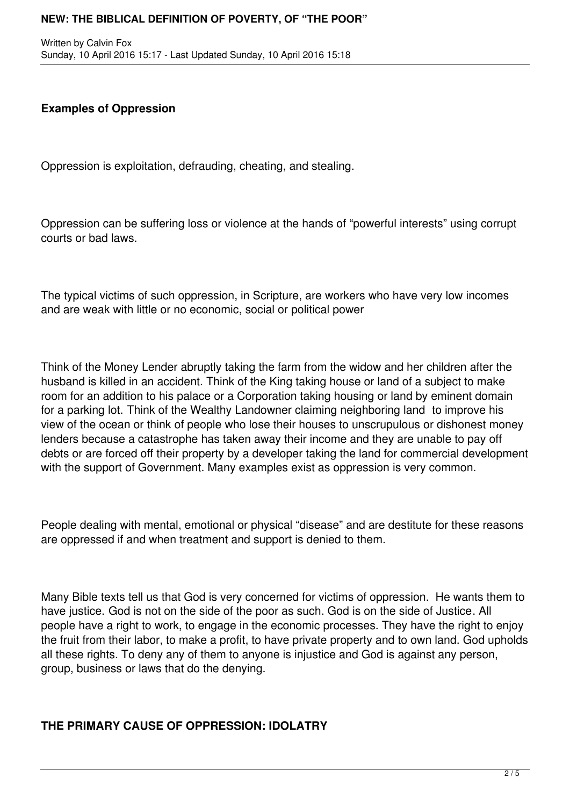Written by Calvin Fox Sunday, 10 April 2016 15:17 - Last Updated Sunday, 10 April 2016 15:18

## **Examples of Oppression**

Oppression is exploitation, defrauding, cheating, and stealing.

Oppression can be suffering loss or violence at the hands of "powerful interests" using corrupt courts or bad laws.

The typical victims of such oppression, in Scripture, are workers who have very low incomes and are weak with little or no economic, social or political power

Think of the Money Lender abruptly taking the farm from the widow and her children after the husband is killed in an accident. Think of the King taking house or land of a subject to make room for an addition to his palace or a Corporation taking housing or land by eminent domain for a parking lot. Think of the Wealthy Landowner claiming neighboring land to improve his view of the ocean or think of people who lose their houses to unscrupulous or dishonest money lenders because a catastrophe has taken away their income and they are unable to pay off debts or are forced off their property by a developer taking the land for commercial development with the support of Government. Many examples exist as oppression is very common.

People dealing with mental, emotional or physical "disease" and are destitute for these reasons are oppressed if and when treatment and support is denied to them.

Many Bible texts tell us that God is very concerned for victims of oppression. He wants them to have justice. God is not on the side of the poor as such. God is on the side of Justice. All people have a right to work, to engage in the economic processes. They have the right to enjoy the fruit from their labor, to make a profit, to have private property and to own land. God upholds all these rights. To deny any of them to anyone is injustice and God is against any person, group, business or laws that do the denying.

#### **THE PRIMARY CAUSE OF OPPRESSION: IDOLATRY**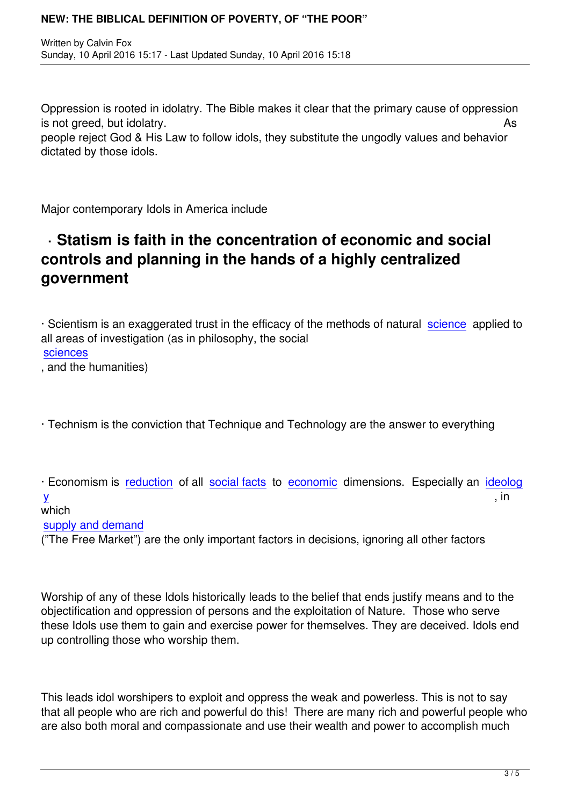Oppression is rooted in idolatry. The Bible makes it clear that the primary cause of oppression is not greed, but idolatry. As people reject God & His Law to follow idols, they substitute the ungodly values and behavior dictated by those idols.

Major contemporary Idols in America include

# **· Statism is faith in the concentration of economic and social controls and planning in the hands of a highly centralized government**

· Scientism is an exaggerated trust in the efficacy of the methods of natural science applied to all areas of investigation (as in philosophy, the social **sciences** 

, and the humanities)

· Technism is the conviction that Technique and Technology are the answer to everything

· Economism is reduction of all social facts to economic dimensions. Especially an ideolog  ${\sf y}$  , in

# which

supply and dem[and](http://en.wikipedia.org/wiki/Reductionism)

[\("T](http://en.wikipedia.org/wiki/Ideology)he Free Market") are the only [important fa](http://en.wikipedia.org/wiki/Social_fact)ctor[s in decisi](http://en.wikipedia.org/wiki/Economic)ons, ignoring all other factors

Worship of any of these Idols historically leads to the belief that ends justify means and to the objectification and oppression of persons and the exploitation of Nature. Those who serve these Idols use them to gain and exercise power for themselves. They are deceived. Idols end up controlling those who worship them.

This leads idol worshipers to exploit and oppress the weak and powerless. This is not to say that all people who are rich and powerful do this! There are many rich and powerful people who are also both moral and compassionate and use their wealth and power to accomplish much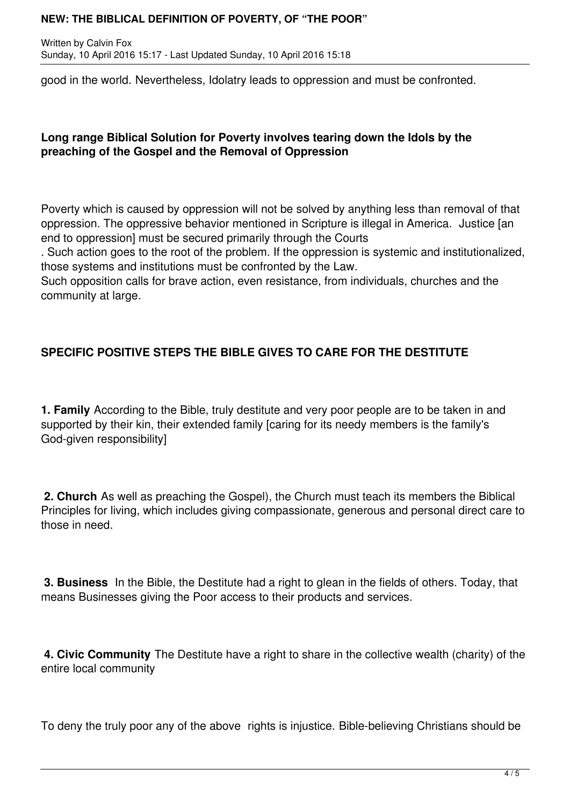Written by Calvin Fox Sunday, 10 April 2016 15:17 - Last Updated Sunday, 10 April 2016 15:18

good in the world. Nevertheless, Idolatry leads to oppression and must be confronted.

# **Long range Biblical Solution for Poverty involves tearing down the Idols by the preaching of the Gospel and the Removal of Oppression**

Poverty which is caused by oppression will not be solved by anything less than removal of that oppression. The oppressive behavior mentioned in Scripture is illegal in America. Justice [an end to oppression] must be secured primarily through the Courts

. Such action goes to the root of the problem. If the oppression is systemic and institutionalized, those systems and institutions must be confronted by the Law.

Such opposition calls for brave action, even resistance, from individuals, churches and the community at large.

# **SPECIFIC POSITIVE STEPS THE BIBLE GIVES TO CARE FOR THE DESTITUTE**

**1. Family** According to the Bible, truly destitute and very poor people are to be taken in and supported by their kin, their extended family [caring for its needy members is the family's God-given responsibility]

**2. Church** As well as preaching the Gospel), the Church must teach its members the Biblical Principles for living, which includes giving compassionate, generous and personal direct care to those in need.

**3. Business** In the Bible, the Destitute had a right to glean in the fields of others. Today, that means Businesses giving the Poor access to their products and services.

**4. Civic Community** The Destitute have a right to share in the collective wealth (charity) of the entire local community

To deny the truly poor any of the above rights is injustice. Bible-believing Christians should be